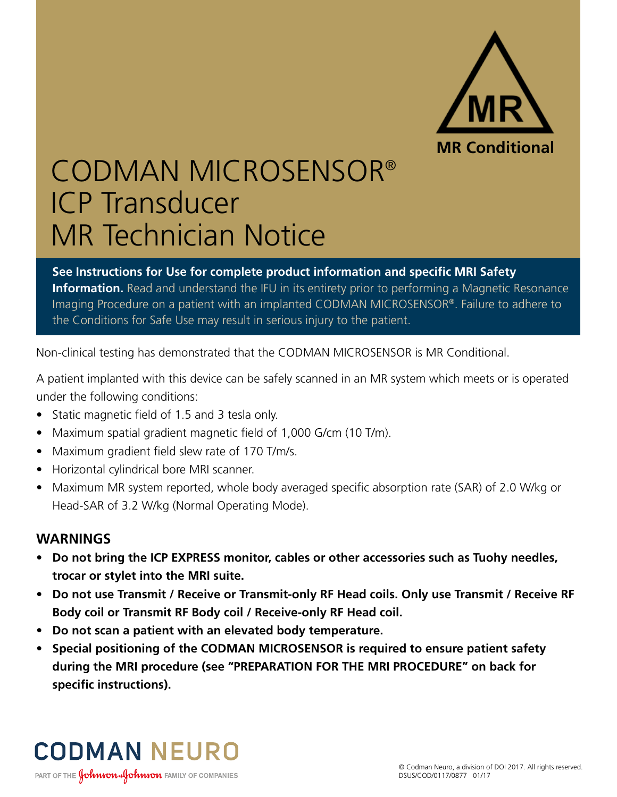

## CODMAN MICROSENSOR® ICP Transducer MR Technician Notice

**See Instructions for Use for complete product information and specific MRI Safety Information.** Read and understand the IFU in its entirety prior to performing a Magnetic Resonance Imaging Procedure on a patient with an implanted CODMAN MICROSENSOR®. Failure to adhere to the Conditions for Safe Use may result in serious injury to the patient.

Non-clinical testing has demonstrated that the CODMAN MICROSENSOR is MR Conditional.

A patient implanted with this device can be safely scanned in an MR system which meets or is operated under the following conditions:

- Static magnetic field of 1.5 and 3 tesla only.
- Maximum spatial gradient magnetic field of 1,000 G/cm (10 T/m).
- Maximum gradient field slew rate of 170 T/m/s.
- Horizontal cylindrical bore MRI scanner.
- Maximum MR system reported, whole body averaged specific absorption rate (SAR) of 2.0 W/kg or Head-SAR of 3.2 W/kg (Normal Operating Mode).

## **WARNINGS**

- **Do not bring the ICP EXPRESS monitor, cables or other accessories such as Tuohy needles, trocar or stylet into the MRI suite.**
- **Do not use Transmit / Receive or Transmit-only RF Head coils. Only use Transmit / Receive RF Body coil or Transmit RF Body coil / Receive-only RF Head coil.**
- **Do not scan a patient with an elevated body temperature.**
- **Special positioning of the CODMAN MICROSENSOR is required to ensure patient safety during the MRI procedure (see "PREPARATION FOR THE MRI PROCEDURE" on back for specific instructions).**